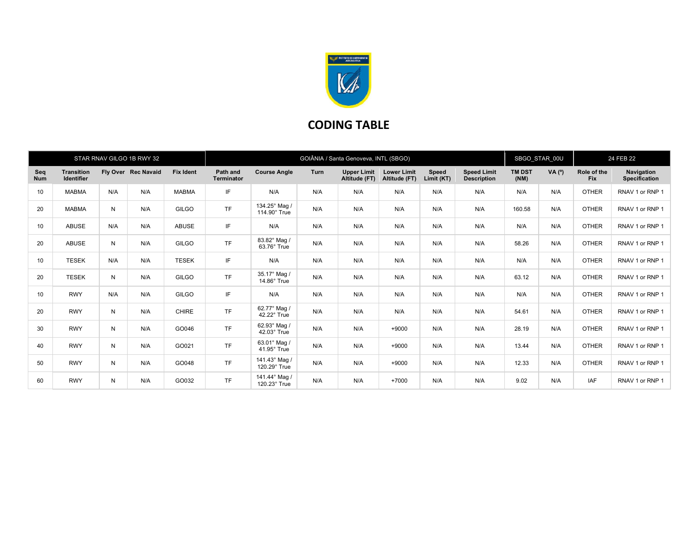

## CODING TABLE

|                   |                                        |     | STAR RNAV GILGO 1B RWY 32 |                  | GOIÂNIA / Santa Genoveva, INTL (SBGO) |                                    |      |                                     |                                     |                     |                                          | SBGO STAR 00U         |        | 24 FEB 22                 |                             |
|-------------------|----------------------------------------|-----|---------------------------|------------------|---------------------------------------|------------------------------------|------|-------------------------------------|-------------------------------------|---------------------|------------------------------------------|-----------------------|--------|---------------------------|-----------------------------|
| Seq<br><b>Num</b> | <b>Transition</b><br><b>Identifier</b> |     | Fly Over Rec Navaid       | <b>Fix Ident</b> | Path and<br><b>Terminator</b>         | <b>Course Angle</b>                | Turn | <b>Upper Limit</b><br>Altitude (FT) | <b>Lower Limit</b><br>Altitude (FT) | Speed<br>Limit (KT) | <b>Speed Limit</b><br><b>Description</b> | <b>TM DST</b><br>(NM) | VA (°) | Role of the<br><b>Fix</b> | Navigation<br>Specification |
| 10                | <b>MABMA</b>                           | N/A | N/A                       | <b>MABMA</b>     | IF                                    | N/A                                | N/A  | N/A                                 | N/A                                 | N/A                 | N/A                                      | N/A                   | N/A    | <b>OTHER</b>              | RNAV 1 or RNP 1             |
| 20                | <b>MABMA</b>                           | N   | N/A                       | <b>GILGO</b>     | <b>TF</b>                             | 134.25° Mag /<br>114.90° True      | N/A  | N/A                                 | N/A                                 | N/A                 | N/A                                      | 160.58                | N/A    | <b>OTHER</b>              | RNAV 1 or RNP 1             |
| 10                | <b>ABUSE</b>                           | N/A | N/A                       | <b>ABUSE</b>     | IF                                    | N/A                                | N/A  | N/A                                 | N/A                                 | N/A                 | N/A                                      | N/A                   | N/A    | <b>OTHER</b>              | RNAV 1 or RNP 1             |
| 20                | <b>ABUSE</b>                           | N   | N/A                       | <b>GILGO</b>     | <b>TF</b>                             | 83.82° Mag /<br>63.76° True        | N/A  | N/A                                 | N/A                                 | N/A                 | N/A                                      | 58.26                 | N/A    | <b>OTHER</b>              | RNAV 1 or RNP 1             |
| 10                | <b>TESEK</b>                           | N/A | N/A                       | <b>TESEK</b>     | IF                                    | N/A                                | N/A  | N/A                                 | N/A                                 | N/A                 | N/A                                      | N/A                   | N/A    | <b>OTHER</b>              | RNAV 1 or RNP 1             |
| 20                | <b>TESEK</b>                           | N   | N/A                       | GILGO            | <b>TF</b>                             | 35.17° Mag /<br>$14.86^\circ$ True | N/A  | N/A                                 | N/A                                 | N/A                 | N/A                                      | 63.12                 | N/A    | <b>OTHER</b>              | RNAV 1 or RNP 1             |
| 10                | <b>RWY</b>                             | N/A | N/A                       | <b>GILGO</b>     | IF                                    | N/A                                | N/A  | N/A                                 | N/A                                 | N/A                 | N/A                                      | N/A                   | N/A    | <b>OTHER</b>              | RNAV 1 or RNP 1             |
| 20                | <b>RWY</b>                             | N   | N/A                       | <b>CHIRE</b>     | <b>TF</b>                             | 62.77° Mag /<br>42.22° True        | N/A  | N/A                                 | N/A                                 | N/A                 | N/A                                      | 54.61                 | N/A    | <b>OTHER</b>              | RNAV 1 or RNP 1             |
| 30                | <b>RWY</b>                             | N   | N/A                       | GO046            | <b>TF</b>                             | 62.93° Mag /<br>$42.03^\circ$ True | N/A  | N/A                                 | $+9000$                             | N/A                 | N/A                                      | 28.19                 | N/A    | <b>OTHER</b>              | RNAV 1 or RNP 1             |
| 40                | <b>RWY</b>                             | N   | N/A                       | GO021            | <b>TF</b>                             | 63.01° Mag /<br>41.95° True        | N/A  | N/A                                 | $+9000$                             | N/A                 | N/A                                      | 13.44                 | N/A    | <b>OTHER</b>              | RNAV 1 or RNP 1             |
| 50                | <b>RWY</b>                             | N   | N/A                       | GO048            | <b>TF</b>                             | 141.43° Mag /<br>120.29° True      | N/A  | N/A                                 | $+9000$                             | N/A                 | N/A                                      | 12.33                 | N/A    | <b>OTHER</b>              | RNAV 1 or RNP 1             |
| 60                | <b>RWY</b>                             | N   | N/A                       | GO032            | <b>TF</b>                             | 141.44° Mag /<br>120.23° True      | N/A  | N/A                                 | $+7000$                             | N/A                 | N/A                                      | 9.02                  | N/A    | IAF                       | RNAV 1 or RNP 1             |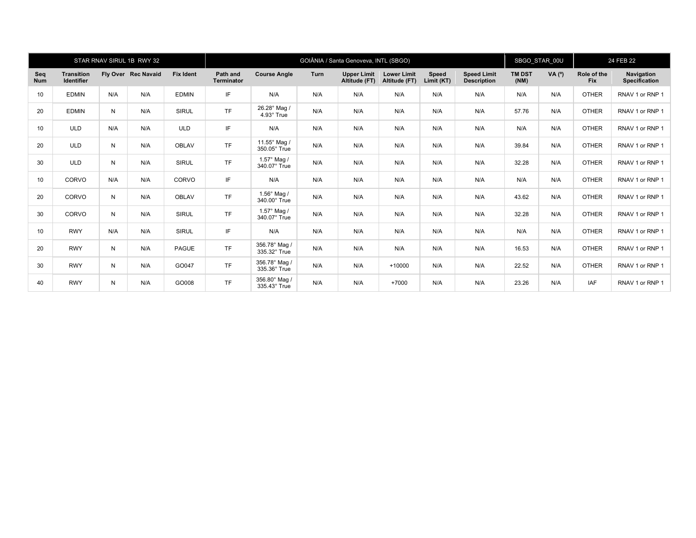|                   |                                        |     | STAR RNAV SIRUL 1B RWY 32 |                  | GOIÂNIA / Santa Genoveva, INTL (SBGO) |                                      |      |                                     |                                     |                     |                                          | SBGO STAR 00U         |        | 24 FEB 22                 |                                    |
|-------------------|----------------------------------------|-----|---------------------------|------------------|---------------------------------------|--------------------------------------|------|-------------------------------------|-------------------------------------|---------------------|------------------------------------------|-----------------------|--------|---------------------------|------------------------------------|
| Seq<br><b>Num</b> | <b>Transition</b><br><b>Identifier</b> |     | Fly Over Rec Navaid       | <b>Fix Ident</b> | Path and<br><b>Terminator</b>         | <b>Course Angle</b>                  | Turn | <b>Upper Limit</b><br>Altitude (FT) | <b>Lower Limit</b><br>Altitude (FT) | Speed<br>Limit (KT) | <b>Speed Limit</b><br><b>Description</b> | <b>TM DST</b><br>(NM) | VA (°) | Role of the<br><b>Fix</b> | Navigation<br><b>Specification</b> |
| 10                | <b>EDMIN</b>                           | N/A | N/A                       | <b>EDMIN</b>     | IF                                    | N/A                                  | N/A  | N/A                                 | N/A                                 | N/A                 | N/A                                      | N/A                   | N/A    | <b>OTHER</b>              | RNAV 1 or RNP 1                    |
| 20                | <b>EDMIN</b>                           | N   | N/A                       | <b>SIRUL</b>     | <b>TF</b>                             | 26.28° Mag /<br>4.93° True           | N/A  | N/A                                 | N/A                                 | N/A                 | N/A                                      | 57.76                 | N/A    | <b>OTHER</b>              | RNAV 1 or RNP 1                    |
| 10                | <b>ULD</b>                             | N/A | N/A                       | <b>ULD</b>       | IF                                    | N/A                                  | N/A  | N/A                                 | N/A                                 | N/A                 | N/A                                      | N/A                   | N/A    | <b>OTHER</b>              | RNAV 1 or RNP 1                    |
| 20                | <b>ULD</b>                             | N   | N/A                       | <b>OBLAV</b>     | <b>TF</b>                             | 11.55° Mag /<br>350.05° True         | N/A  | N/A                                 | N/A                                 | N/A                 | N/A                                      | 39.84                 | N/A    | <b>OTHER</b>              | RNAV 1 or RNP 1                    |
| 30                | <b>ULD</b>                             | N   | N/A                       | <b>SIRUL</b>     | <b>TF</b>                             | $1.57^\circ$ Mag /<br>340.07° True   | N/A  | N/A                                 | N/A                                 | N/A                 | N/A                                      | 32.28                 | N/A    | <b>OTHER</b>              | RNAV 1 or RNP 1                    |
| 10                | CORVO                                  | N/A | N/A                       | CORVO            | IF                                    | N/A                                  | N/A  | N/A                                 | N/A                                 | N/A                 | N/A                                      | N/A                   | N/A    | <b>OTHER</b>              | RNAV 1 or RNP 1                    |
| 20                | CORVO                                  | N   | N/A                       | <b>OBLAV</b>     | <b>TF</b>                             | $1.56^{\circ}$ Mag /<br>340.00° True | N/A  | N/A                                 | N/A                                 | N/A                 | N/A                                      | 43.62                 | N/A    | <b>OTHER</b>              | RNAV 1 or RNP 1                    |
| 30                | CORVO                                  | N   | N/A                       | <b>SIRUL</b>     | <b>TF</b>                             | 1.57° Mag /<br>340.07° True          | N/A  | N/A                                 | N/A                                 | N/A                 | N/A                                      | 32.28                 | N/A    | <b>OTHER</b>              | RNAV 1 or RNP 1                    |
| 10                | <b>RWY</b>                             | N/A | N/A                       | <b>SIRUL</b>     | IF                                    | N/A                                  | N/A  | N/A                                 | N/A                                 | N/A                 | N/A                                      | N/A                   | N/A    | <b>OTHER</b>              | RNAV 1 or RNP 1                    |
| 20                | <b>RWY</b>                             | N   | N/A                       | <b>PAGUE</b>     | <b>TF</b>                             | 356.78° Mag /<br>335.32° True        | N/A  | N/A                                 | N/A                                 | N/A                 | N/A                                      | 16.53                 | N/A    | <b>OTHER</b>              | RNAV 1 or RNP 1                    |
| 30                | <b>RWY</b>                             | N   | N/A                       | GO047            | <b>TF</b>                             | 356.78° Mag /<br>335.36° True        | N/A  | N/A                                 | $+10000$                            | N/A                 | N/A                                      | 22.52                 | N/A    | <b>OTHER</b>              | RNAV 1 or RNP 1                    |
| 40                | <b>RWY</b>                             | N   | N/A                       | GO008            | <b>TF</b>                             | 356.80° Mag /<br>335.43° True        | N/A  | N/A                                 | $+7000$                             | N/A                 | N/A                                      | 23.26                 | N/A    | IAF                       | RNAV 1 or RNP 1                    |